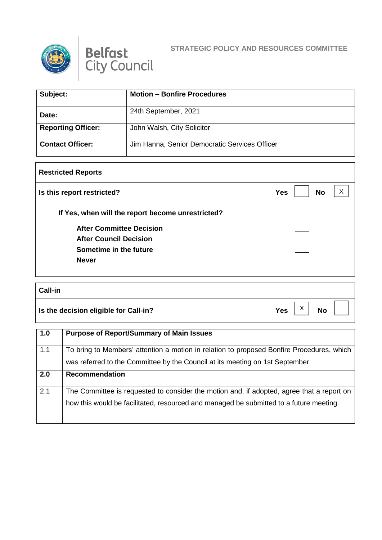



## **STRATEGIC POLICY AND RESOURCES COMMITTEE**

| Subject:                  | <b>Motion - Bonfire Procedures</b>            |
|---------------------------|-----------------------------------------------|
| Date:                     | 24th September, 2021                          |
| <b>Reporting Officer:</b> | John Walsh, City Solicitor                    |
| <b>Contact Officer:</b>   | Jim Hanna, Senior Democratic Services Officer |

## **Restricted Reports**

| Is this report restricted?                        | <b>No</b><br><b>Yes</b> |
|---------------------------------------------------|-------------------------|
| If Yes, when will the report become unrestricted? |                         |
| <b>After Committee Decision</b>                   |                         |
| <b>After Council Decision</b>                     |                         |
| Sometime in the future                            |                         |
| <b>Never</b>                                      |                         |

## **Call-in**

**Is the decision eligible for Call-in?**  $Yes \begin{bmatrix} X \\ Y \end{bmatrix}$  No

X

H

| $\vert$ 1.0 | <b>Purpose of Report/Summary of Main Issues</b>                                           |
|-------------|-------------------------------------------------------------------------------------------|
| 1.1         | To bring to Members' attention a motion in relation to proposed Bonfire Procedures, which |
|             | was referred to the Committee by the Council at its meeting on 1st September.             |
| 2.0         | <b>Recommendation</b>                                                                     |
| 2.1         | The Committee is requested to consider the motion and, if adopted, agree that a report on |
|             | how this would be facilitated, resourced and managed be submitted to a future meeting.    |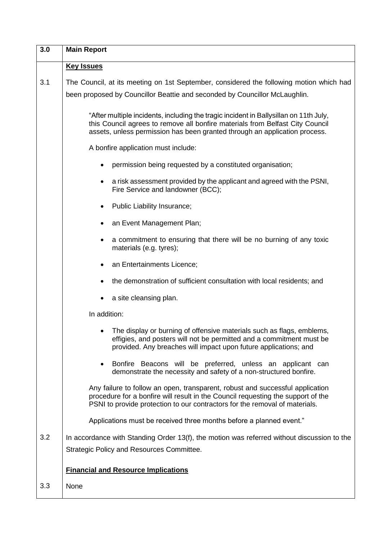| 3.0 | <b>Main Report</b>                                                                                                                                                                                                                                   |
|-----|------------------------------------------------------------------------------------------------------------------------------------------------------------------------------------------------------------------------------------------------------|
|     | <b>Key Issues</b>                                                                                                                                                                                                                                    |
| 3.1 | The Council, at its meeting on 1st September, considered the following motion which had                                                                                                                                                              |
|     | been proposed by Councillor Beattie and seconded by Councillor McLaughlin.                                                                                                                                                                           |
|     | "After multiple incidents, including the tragic incident in Ballysillan on 11th July,<br>this Council agrees to remove all bonfire materials from Belfast City Council<br>assets, unless permission has been granted through an application process. |
|     | A bonfire application must include:                                                                                                                                                                                                                  |
|     | permission being requested by a constituted organisation;                                                                                                                                                                                            |
|     | a risk assessment provided by the applicant and agreed with the PSNI,<br>Fire Service and landowner (BCC);                                                                                                                                           |
|     | Public Liability Insurance;<br>٠                                                                                                                                                                                                                     |
|     | an Event Management Plan;<br>$\bullet$                                                                                                                                                                                                               |
|     | a commitment to ensuring that there will be no burning of any toxic<br>$\bullet$<br>materials (e.g. tyres);                                                                                                                                          |
|     | an Entertainments Licence;<br>$\bullet$                                                                                                                                                                                                              |
|     | the demonstration of sufficient consultation with local residents; and                                                                                                                                                                               |
|     | a site cleansing plan.                                                                                                                                                                                                                               |
|     | In addition:                                                                                                                                                                                                                                         |
|     | The display or burning of offensive materials such as flags, emblems,<br>effigies, and posters will not be permitted and a commitment must be<br>provided. Any breaches will impact upon future applications; and                                    |
|     | Bonfire Beacons will be preferred, unless an applicant can<br>$\bullet$<br>demonstrate the necessity and safety of a non-structured bonfire.                                                                                                         |
|     | Any failure to follow an open, transparent, robust and successful application<br>procedure for a bonfire will result in the Council requesting the support of the<br>PSNI to provide protection to our contractors for the removal of materials.     |
|     | Applications must be received three months before a planned event."                                                                                                                                                                                  |
| 3.2 | In accordance with Standing Order 13(f), the motion was referred without discussion to the                                                                                                                                                           |
|     | <b>Strategic Policy and Resources Committee.</b>                                                                                                                                                                                                     |
|     | <b>Financial and Resource Implications</b>                                                                                                                                                                                                           |
| 3.3 | None                                                                                                                                                                                                                                                 |